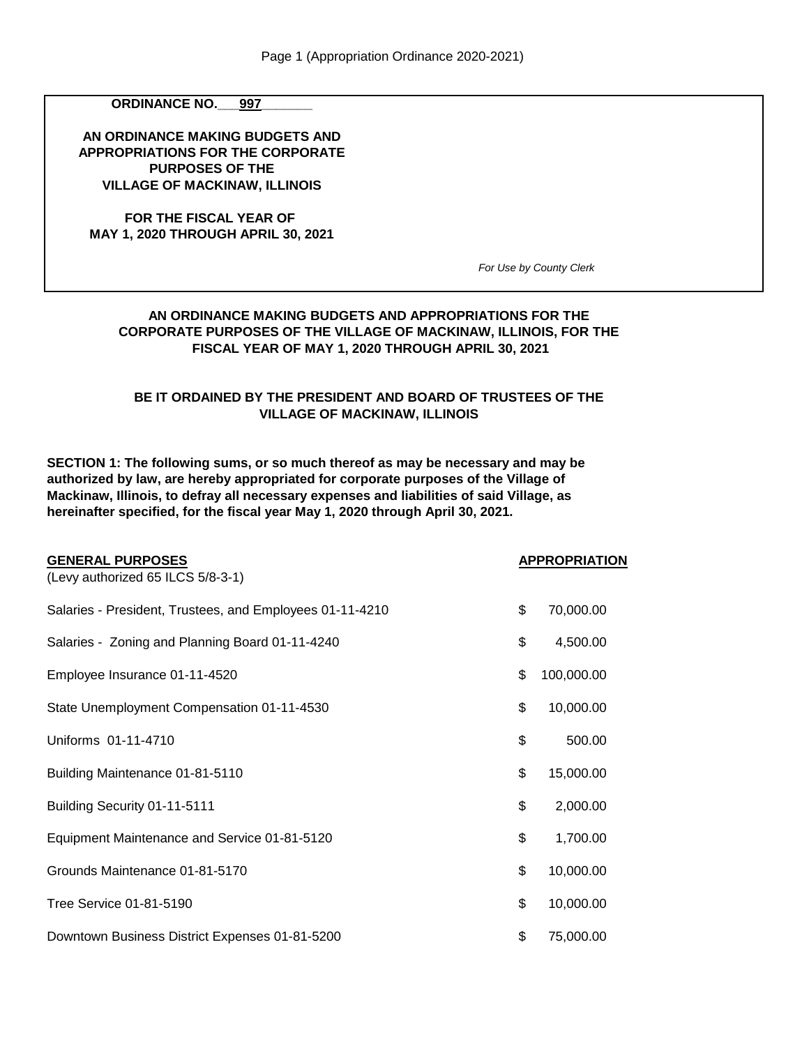**ORDINANCE NO. 997** 

**AN ORDINANCE MAKING BUDGETS AND APPROPRIATIONS FOR THE CORPORATE PURPOSES OF THE VILLAGE OF MACKINAW, ILLINOIS**

**FOR THE FISCAL YEAR OF MAY 1, 2020 THROUGH APRIL 30, 2021**

*For Use by County Clerk*

### **FISCAL YEAR OF MAY 1, 2020 THROUGH APRIL 30, 2021 AN ORDINANCE MAKING BUDGETS AND APPROPRIATIONS FOR THE CORPORATE PURPOSES OF THE VILLAGE OF MACKINAW, ILLINOIS, FOR THE**

#### **VILLAGE OF MACKINAW, ILLINOIS BE IT ORDAINED BY THE PRESIDENT AND BOARD OF TRUSTEES OF THE**

**SECTION 1: The following sums, or so much thereof as may be necessary and may be authorized by law, are hereby appropriated for corporate purposes of the Village of Mackinaw, Illinois, to defray all necessary expenses and liabilities of said Village, as hereinafter specified, for the fiscal year May 1, 2020 through April 30, 2021.**

| <b>GENERAL PURPOSES</b>                                  | <b>APPROPRIATION</b> |
|----------------------------------------------------------|----------------------|
| (Levy authorized 65 ILCS 5/8-3-1)                        |                      |
| Salaries - President, Trustees, and Employees 01-11-4210 | \$<br>70,000.00      |
| Salaries - Zoning and Planning Board 01-11-4240          | \$<br>4,500.00       |
| Employee Insurance 01-11-4520                            | \$<br>100,000.00     |
| State Unemployment Compensation 01-11-4530               | \$<br>10,000.00      |
| Uniforms 01-11-4710                                      | \$<br>500.00         |
| Building Maintenance 01-81-5110                          | \$<br>15,000.00      |
| Building Security 01-11-5111                             | \$<br>2,000.00       |
| Equipment Maintenance and Service 01-81-5120             | \$<br>1,700.00       |
| Grounds Maintenance 01-81-5170                           | \$<br>10,000.00      |
| Tree Service 01-81-5190                                  | \$<br>10,000.00      |
| Downtown Business District Expenses 01-81-5200           | \$<br>75,000.00      |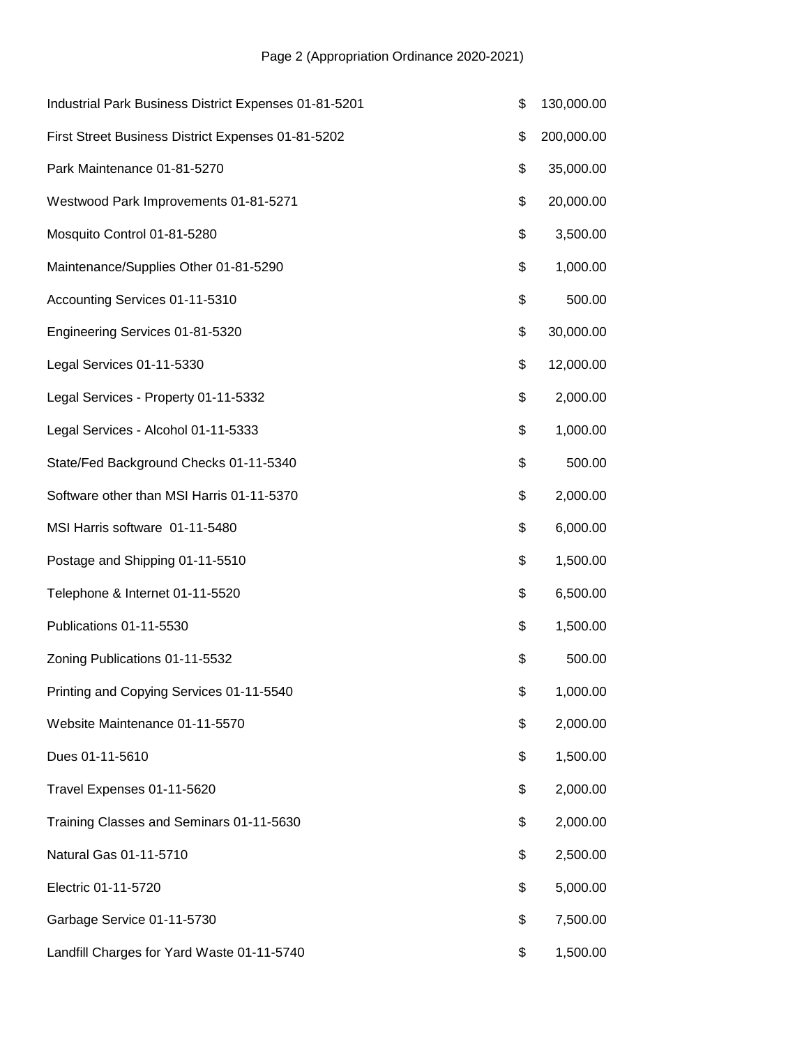| Industrial Park Business District Expenses 01-81-5201 | \$<br>130,000.00 |
|-------------------------------------------------------|------------------|
| First Street Business District Expenses 01-81-5202    | \$<br>200,000.00 |
| Park Maintenance 01-81-5270                           | \$<br>35,000.00  |
| Westwood Park Improvements 01-81-5271                 | \$<br>20,000.00  |
| Mosquito Control 01-81-5280                           | \$<br>3,500.00   |
| Maintenance/Supplies Other 01-81-5290                 | \$<br>1,000.00   |
| Accounting Services 01-11-5310                        | \$<br>500.00     |
| Engineering Services 01-81-5320                       | \$<br>30,000.00  |
| Legal Services 01-11-5330                             | \$<br>12,000.00  |
| Legal Services - Property 01-11-5332                  | \$<br>2,000.00   |
| Legal Services - Alcohol 01-11-5333                   | \$<br>1,000.00   |
| State/Fed Background Checks 01-11-5340                | \$<br>500.00     |
| Software other than MSI Harris 01-11-5370             | \$<br>2,000.00   |
| MSI Harris software 01-11-5480                        | \$<br>6,000.00   |
| Postage and Shipping 01-11-5510                       | \$<br>1,500.00   |
| Telephone & Internet 01-11-5520                       | \$<br>6,500.00   |
| Publications 01-11-5530                               | \$<br>1,500.00   |
| Zoning Publications 01-11-5532                        | \$<br>500.00     |
| Printing and Copying Services 01-11-5540              | \$<br>1,000.00   |
| Website Maintenance 01-11-5570                        | \$<br>2,000.00   |
| Dues 01-11-5610                                       | \$<br>1,500.00   |
| Travel Expenses 01-11-5620                            | \$<br>2,000.00   |
| Training Classes and Seminars 01-11-5630              | \$<br>2,000.00   |
| Natural Gas 01-11-5710                                | \$<br>2,500.00   |
| Electric 01-11-5720                                   | \$<br>5,000.00   |
| Garbage Service 01-11-5730                            | \$<br>7,500.00   |
| Landfill Charges for Yard Waste 01-11-5740            | \$<br>1,500.00   |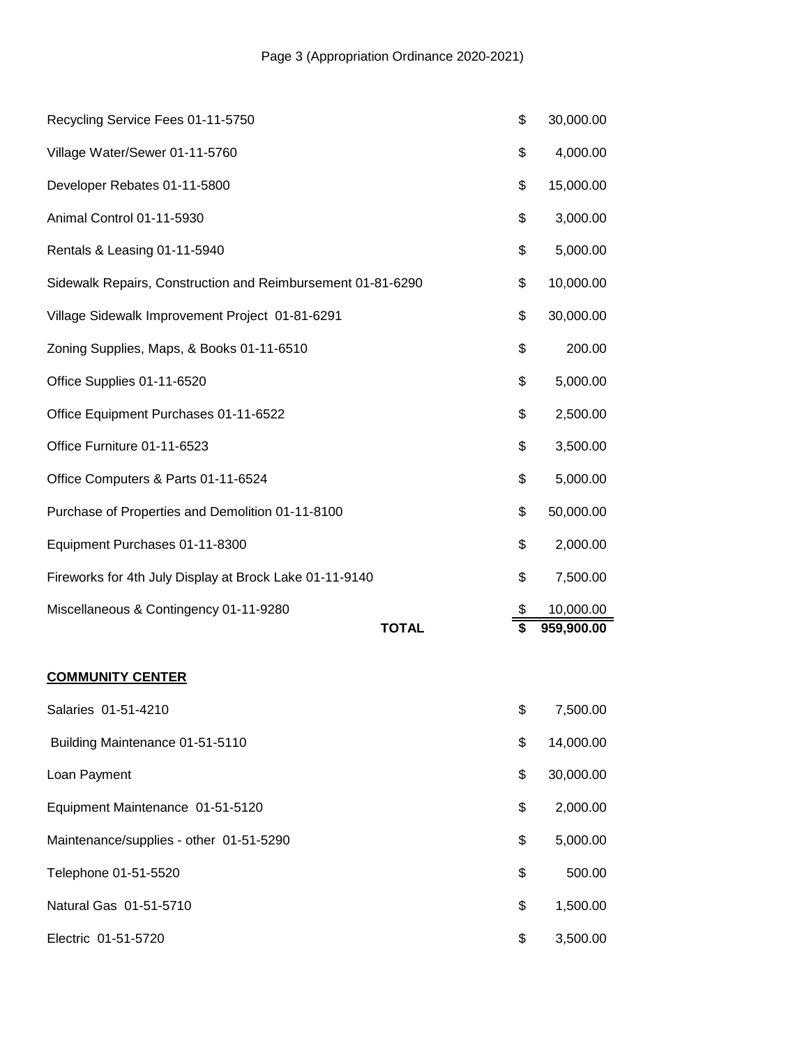| Recycling Service Fees 01-11-5750                           | \$<br>30,000.00 |
|-------------------------------------------------------------|-----------------|
| Village Water/Sewer 01-11-5760                              | \$<br>4,000.00  |
| Developer Rebates 01-11-5800                                | \$<br>15,000.00 |
| Animal Control 01-11-5930                                   | \$<br>3,000.00  |
| Rentals & Leasing 01-11-5940                                | \$<br>5,000.00  |
| Sidewalk Repairs, Construction and Reimbursement 01-81-6290 | \$<br>10,000.00 |
| Village Sidewalk Improvement Project 01-81-6291             | \$<br>30,000.00 |
| Zoning Supplies, Maps, & Books 01-11-6510                   | \$<br>200.00    |
| Office Supplies 01-11-6520                                  | \$<br>5,000.00  |
| Office Equipment Purchases 01-11-6522                       | \$<br>2,500.00  |
| Office Furniture 01-11-6523                                 | \$<br>3,500.00  |
| Office Computers & Parts 01-11-6524                         | \$<br>5,000.00  |
| Purchase of Properties and Demolition 01-11-8100            | \$<br>50,000.00 |
| Equipment Purchases 01-11-8300                              | \$<br>2,000.00  |
| Fireworks for 4th July Display at Brock Lake 01-11-9140     | \$<br>7,500.00  |
| Miscellaneous & Contingency 01-11-9280                      | \$<br>10,000.00 |
| <b>TOTAL</b>                                                | 959,900.00      |
| <b>COMMUNITY CENTER</b>                                     |                 |
| Salaries 01-51-4210                                         | \$<br>7,500.00  |
| Building Maintenance 01-51-5110                             | \$<br>14,000.00 |

| Loan Payment | \$30,000.00 |
|--------------|-------------|
|              |             |

| Equipment Maintenance 01-51-5120        | \$<br>2,000.00 |
|-----------------------------------------|----------------|
| Maintenance/supplies - other 01-51-5290 | \$<br>5,000.00 |
| Telephone 01-51-5520                    | \$<br>500.00   |
| Natural Gas 01-51-5710                  | \$<br>1,500.00 |
| Electric 01-51-5720                     | \$<br>3,500.00 |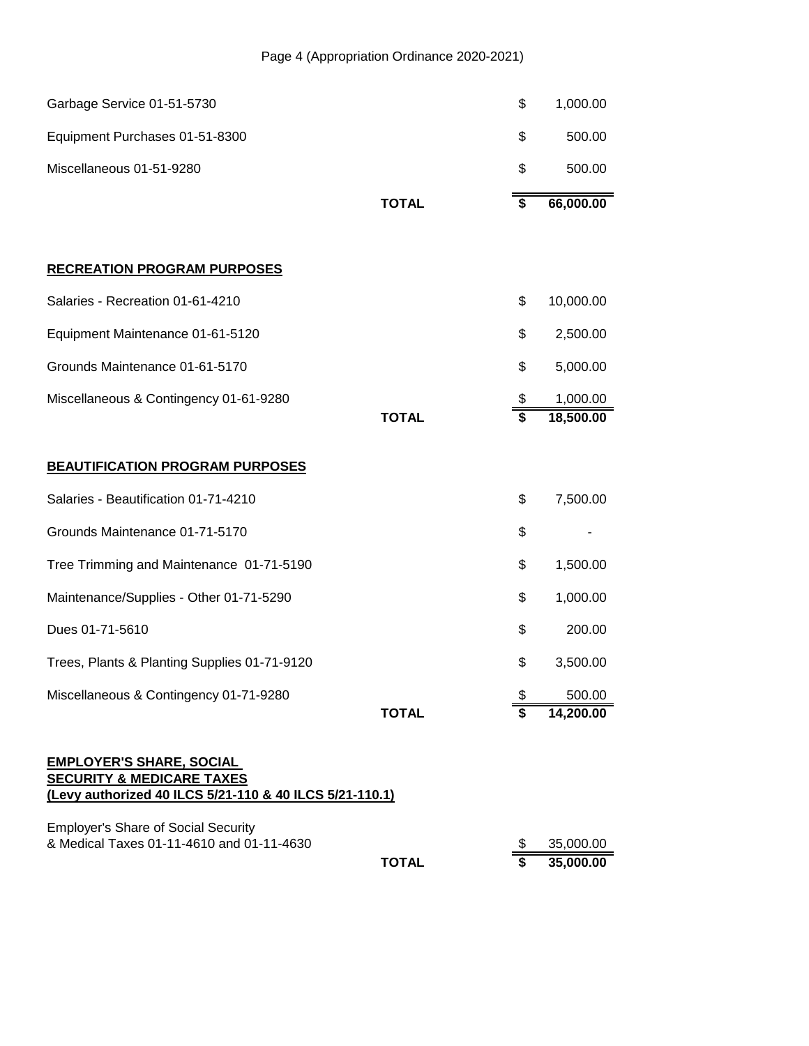| Garbage Service 01-51-5730                                                                                                         |              | \$       | 1,000.00               |
|------------------------------------------------------------------------------------------------------------------------------------|--------------|----------|------------------------|
| Equipment Purchases 01-51-8300                                                                                                     |              | \$       | 500.00                 |
| Miscellaneous 01-51-9280                                                                                                           |              | \$       | 500.00                 |
|                                                                                                                                    | <b>TOTAL</b> | \$       | 66,000.00              |
|                                                                                                                                    |              |          |                        |
| <b>RECREATION PROGRAM PURPOSES</b>                                                                                                 |              |          |                        |
| Salaries - Recreation 01-61-4210                                                                                                   |              | \$       | 10,000.00              |
| Equipment Maintenance 01-61-5120                                                                                                   |              | \$       | 2,500.00               |
| Grounds Maintenance 01-61-5170                                                                                                     |              | \$       | 5,000.00               |
| Miscellaneous & Contingency 01-61-9280                                                                                             |              | \$       | 1,000.00               |
|                                                                                                                                    | <b>TOTAL</b> | \$       | 18,500.00              |
| <b>BEAUTIFICATION PROGRAM PURPOSES</b>                                                                                             |              |          |                        |
| Salaries - Beautification 01-71-4210                                                                                               |              | \$       | 7,500.00               |
| Grounds Maintenance 01-71-5170                                                                                                     |              | \$       |                        |
| Tree Trimming and Maintenance 01-71-5190                                                                                           |              | \$       | 1,500.00               |
| Maintenance/Supplies - Other 01-71-5290                                                                                            |              | \$       | 1,000.00               |
| Dues 01-71-5610                                                                                                                    |              | \$       | 200.00                 |
| Trees, Plants & Planting Supplies 01-71-9120                                                                                       |              | \$       | 3,500.00               |
| Miscellaneous & Contingency 01-71-9280                                                                                             |              | \$       | 500.00                 |
|                                                                                                                                    | <b>TOTAL</b> | \$       | 14,200.00              |
| <b>EMPLOYER'S SHARE, SOCIAL</b><br><b>SECURITY &amp; MEDICARE TAXES</b><br>(Levy authorized 40 ILCS 5/21-110 & 40 ILCS 5/21-110.1) |              |          |                        |
| <b>Employer's Share of Social Security</b><br>& Medical Taxes 01-11-4610 and 01-11-4630                                            | <b>TOTAL</b> | \$<br>\$ | 35,000.00<br>35,000.00 |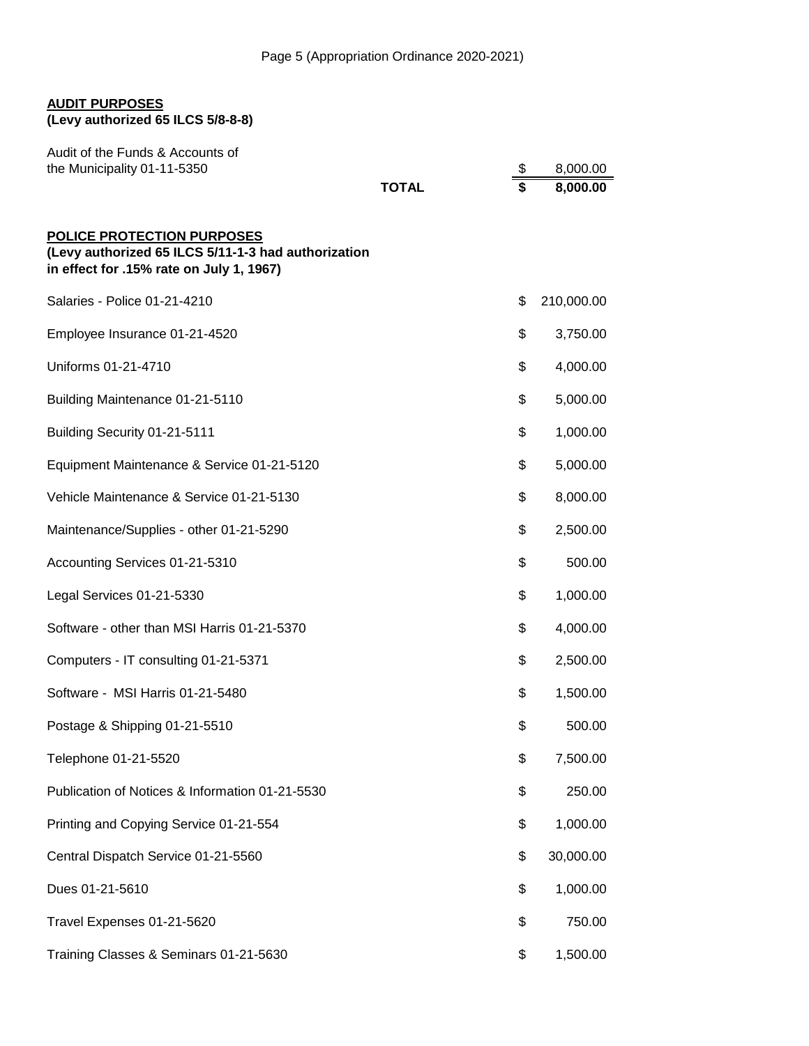# **AUDIT PURPOSES**

**(Levy authorized 65 ILCS 5/8-8-8)**

| Audit of the Funds & Accounts of<br>the Municipality 01-11-5350                                                                      |              | \$<br>8,000.00   |
|--------------------------------------------------------------------------------------------------------------------------------------|--------------|------------------|
|                                                                                                                                      | <b>TOTAL</b> | \$<br>8,000.00   |
| <b>POLICE PROTECTION PURPOSES</b><br>(Levy authorized 65 ILCS 5/11-1-3 had authorization<br>in effect for .15% rate on July 1, 1967) |              |                  |
| Salaries - Police 01-21-4210                                                                                                         |              | \$<br>210,000.00 |
| Employee Insurance 01-21-4520                                                                                                        |              | \$<br>3,750.00   |
| Uniforms 01-21-4710                                                                                                                  |              | \$<br>4,000.00   |
| Building Maintenance 01-21-5110                                                                                                      |              | \$<br>5,000.00   |
| Building Security 01-21-5111                                                                                                         |              | \$<br>1,000.00   |
| Equipment Maintenance & Service 01-21-5120                                                                                           |              | \$<br>5,000.00   |
| Vehicle Maintenance & Service 01-21-5130                                                                                             |              | \$<br>8,000.00   |
| Maintenance/Supplies - other 01-21-5290                                                                                              |              | \$<br>2,500.00   |
| Accounting Services 01-21-5310                                                                                                       |              | \$<br>500.00     |
| Legal Services 01-21-5330                                                                                                            |              | \$<br>1,000.00   |
| Software - other than MSI Harris 01-21-5370                                                                                          |              | \$<br>4,000.00   |
| Computers - IT consulting 01-21-5371                                                                                                 |              | \$<br>2,500.00   |
| Software - MSI Harris 01-21-5480                                                                                                     |              | \$<br>1,500.00   |
| Postage & Shipping 01-21-5510                                                                                                        |              | \$<br>500.00     |
| Telephone 01-21-5520                                                                                                                 |              | \$<br>7,500.00   |
| Publication of Notices & Information 01-21-5530                                                                                      |              | \$<br>250.00     |
| Printing and Copying Service 01-21-554                                                                                               |              | \$<br>1,000.00   |
| Central Dispatch Service 01-21-5560                                                                                                  |              | \$<br>30,000.00  |
| Dues 01-21-5610                                                                                                                      |              | \$<br>1,000.00   |
| Travel Expenses 01-21-5620                                                                                                           |              | \$<br>750.00     |
| Training Classes & Seminars 01-21-5630                                                                                               |              | \$<br>1,500.00   |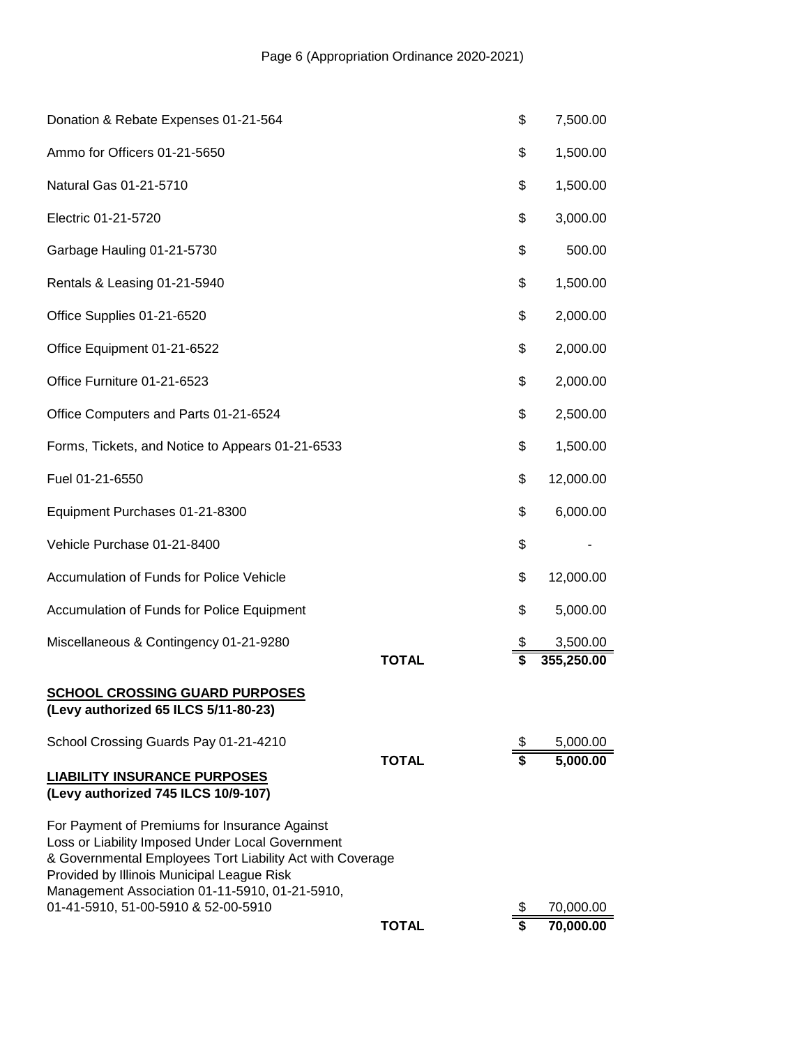|                                                                                                                                                                                                                                                                                                       | <b>TOTAL</b> | \$       | 70,000.00            |
|-------------------------------------------------------------------------------------------------------------------------------------------------------------------------------------------------------------------------------------------------------------------------------------------------------|--------------|----------|----------------------|
| For Payment of Premiums for Insurance Against<br>Loss or Liability Imposed Under Local Government<br>& Governmental Employees Tort Liability Act with Coverage<br>Provided by Illinois Municipal League Risk<br>Management Association 01-11-5910, 01-21-5910,<br>01-41-5910, 51-00-5910 & 52-00-5910 |              | \$       | 70,000.00            |
| <b>LIABILITY INSURANCE PURPOSES</b><br>(Levy authorized 745 ILCS 10/9-107)                                                                                                                                                                                                                            |              |          |                      |
| School Crossing Guards Pay 01-21-4210                                                                                                                                                                                                                                                                 | <b>TOTAL</b> | \$<br>\$ | 5,000.00<br>5,000.00 |
| <b>SCHOOL CROSSING GUARD PURPOSES</b><br>(Levy authorized 65 ILCS 5/11-80-23)                                                                                                                                                                                                                         |              |          |                      |
|                                                                                                                                                                                                                                                                                                       | <b>TOTAL</b> | \$       | 355,250.00           |
| Accumulation of Funds for Police Equipment<br>Miscellaneous & Contingency 01-21-9280                                                                                                                                                                                                                  |              | \$<br>\$ | 5,000.00<br>3,500.00 |
| Accumulation of Funds for Police Vehicle                                                                                                                                                                                                                                                              |              | \$       | 12,000.00            |
| Vehicle Purchase 01-21-8400                                                                                                                                                                                                                                                                           |              | \$       |                      |
| Equipment Purchases 01-21-8300                                                                                                                                                                                                                                                                        |              | \$       | 6,000.00             |
| Fuel 01-21-6550                                                                                                                                                                                                                                                                                       |              | \$       | 12,000.00            |
| Forms, Tickets, and Notice to Appears 01-21-6533                                                                                                                                                                                                                                                      |              | \$       | 1,500.00             |
| Office Computers and Parts 01-21-6524                                                                                                                                                                                                                                                                 |              | \$       | 2,500.00             |
| Office Furniture 01-21-6523                                                                                                                                                                                                                                                                           |              | \$       | 2,000.00             |
| Office Equipment 01-21-6522                                                                                                                                                                                                                                                                           |              | \$       | 2,000.00             |
| Office Supplies 01-21-6520                                                                                                                                                                                                                                                                            |              | \$       | 2,000.00             |
| Rentals & Leasing 01-21-5940                                                                                                                                                                                                                                                                          |              | \$       | 1,500.00             |
| Garbage Hauling 01-21-5730                                                                                                                                                                                                                                                                            |              | \$       | 500.00               |
| Electric 01-21-5720                                                                                                                                                                                                                                                                                   |              | \$       | 3,000.00             |
| Natural Gas 01-21-5710                                                                                                                                                                                                                                                                                |              | \$       | 1,500.00             |
| Ammo for Officers 01-21-5650                                                                                                                                                                                                                                                                          |              | \$       | 1,500.00             |
| Donation & Rebate Expenses 01-21-564                                                                                                                                                                                                                                                                  |              | \$       | 7,500.00             |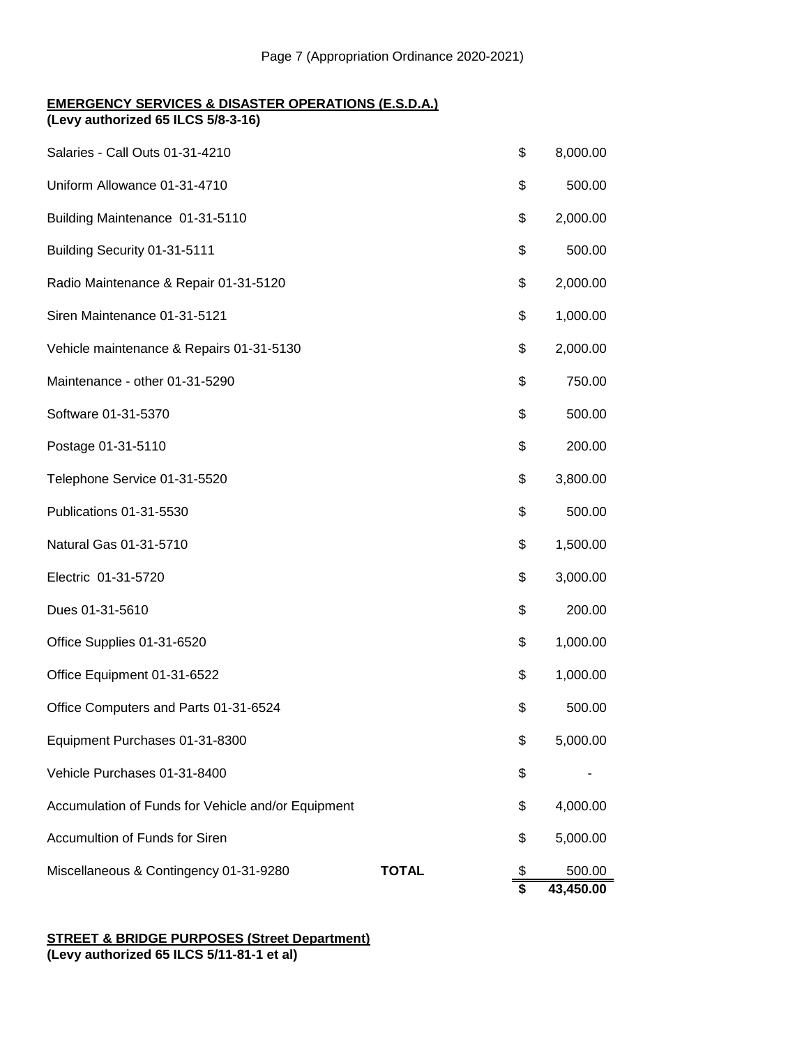## **EMERGENCY SERVICES & DISASTER OPERATIONS (E.S.D.A.)**

**(Levy authorized 65 ILCS 5/8-3-16)**

| Salaries - Call Outs 01-31-4210                    |              | \$       | 8,000.00            |
|----------------------------------------------------|--------------|----------|---------------------|
| Uniform Allowance 01-31-4710                       |              | \$       | 500.00              |
| Building Maintenance 01-31-5110                    |              | \$       | 2,000.00            |
| Building Security 01-31-5111                       |              | \$       | 500.00              |
| Radio Maintenance & Repair 01-31-5120              |              | \$       | 2,000.00            |
| Siren Maintenance 01-31-5121                       |              | \$       | 1,000.00            |
| Vehicle maintenance & Repairs 01-31-5130           |              | \$       | 2,000.00            |
| Maintenance - other 01-31-5290                     |              | \$       | 750.00              |
| Software 01-31-5370                                |              | \$       | 500.00              |
| Postage 01-31-5110                                 |              | \$       | 200.00              |
| Telephone Service 01-31-5520                       |              | \$       | 3,800.00            |
| Publications 01-31-5530                            |              | \$       | 500.00              |
| Natural Gas 01-31-5710                             |              | \$       | 1,500.00            |
| Electric 01-31-5720                                |              | \$       | 3,000.00            |
| Dues 01-31-5610                                    |              | \$       | 200.00              |
| Office Supplies 01-31-6520                         |              | \$       | 1,000.00            |
| Office Equipment 01-31-6522                        |              | \$       | 1,000.00            |
| Office Computers and Parts 01-31-6524              |              | \$       | 500.00              |
| Equipment Purchases 01-31-8300                     |              | \$       | 5,000.00            |
| Vehicle Purchases 01-31-8400                       |              | \$       |                     |
| Accumulation of Funds for Vehicle and/or Equipment |              | \$       | 4,000.00            |
| Accumultion of Funds for Siren                     |              | \$       | 5,000.00            |
| Miscellaneous & Contingency 01-31-9280             | <b>TOTAL</b> | \$<br>\$ | 500.00<br>43,450.00 |

### **STREET & BRIDGE PURPOSES (Street Department) (Levy authorized 65 ILCS 5/11-81-1 et al)**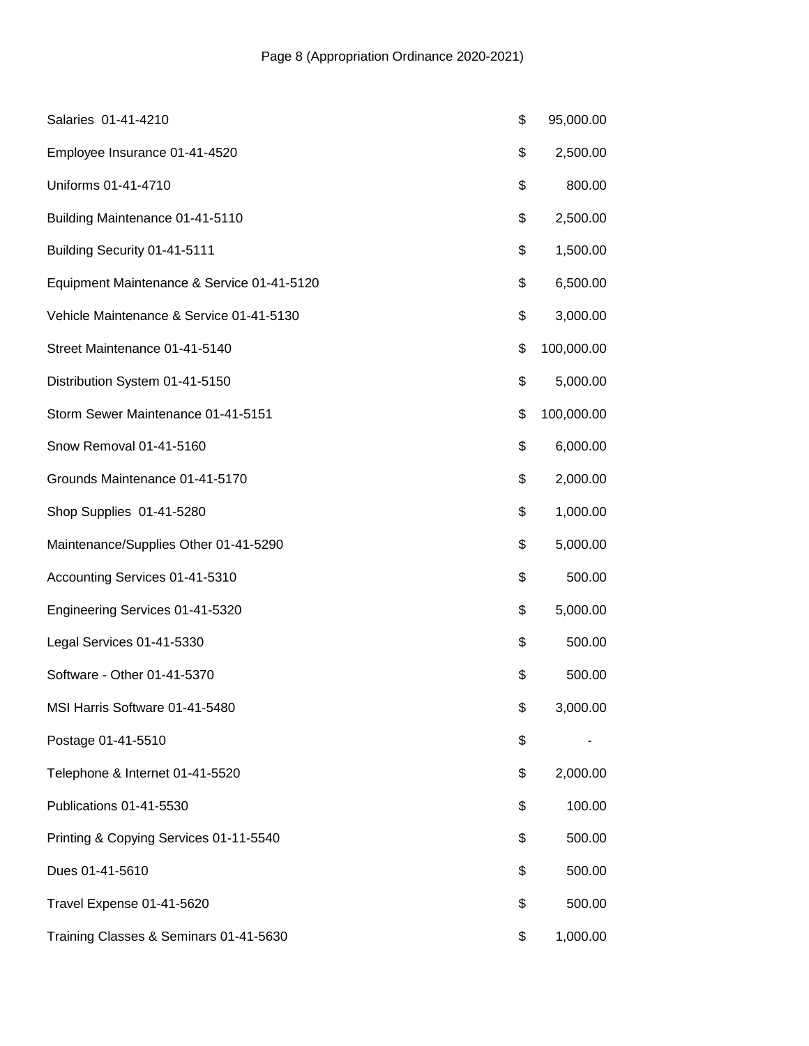| Salaries 01-41-4210                        | \$<br>95,000.00  |
|--------------------------------------------|------------------|
| Employee Insurance 01-41-4520              | \$<br>2,500.00   |
| Uniforms 01-41-4710                        | \$<br>800.00     |
| Building Maintenance 01-41-5110            | \$<br>2,500.00   |
| Building Security 01-41-5111               | \$<br>1,500.00   |
| Equipment Maintenance & Service 01-41-5120 | \$<br>6,500.00   |
| Vehicle Maintenance & Service 01-41-5130   | \$<br>3,000.00   |
| Street Maintenance 01-41-5140              | \$<br>100,000.00 |
| Distribution System 01-41-5150             | \$<br>5,000.00   |
| Storm Sewer Maintenance 01-41-5151         | \$<br>100,000.00 |
| Snow Removal 01-41-5160                    | \$<br>6,000.00   |
| Grounds Maintenance 01-41-5170             | \$<br>2,000.00   |
| Shop Supplies 01-41-5280                   | \$<br>1,000.00   |
| Maintenance/Supplies Other 01-41-5290      | \$<br>5,000.00   |
| Accounting Services 01-41-5310             | \$<br>500.00     |
| Engineering Services 01-41-5320            | \$<br>5,000.00   |
| Legal Services 01-41-5330                  | \$<br>500.00     |
| Software - Other 01-41-5370                | \$<br>500.00     |
| MSI Harris Software 01-41-5480             | \$<br>3,000.00   |
| Postage 01-41-5510                         | \$               |
| Telephone & Internet 01-41-5520            | \$<br>2,000.00   |
| Publications 01-41-5530                    | \$<br>100.00     |
| Printing & Copying Services 01-11-5540     | \$<br>500.00     |
| Dues 01-41-5610                            | \$<br>500.00     |
| Travel Expense 01-41-5620                  | \$<br>500.00     |
| Training Classes & Seminars 01-41-5630     | \$<br>1,000.00   |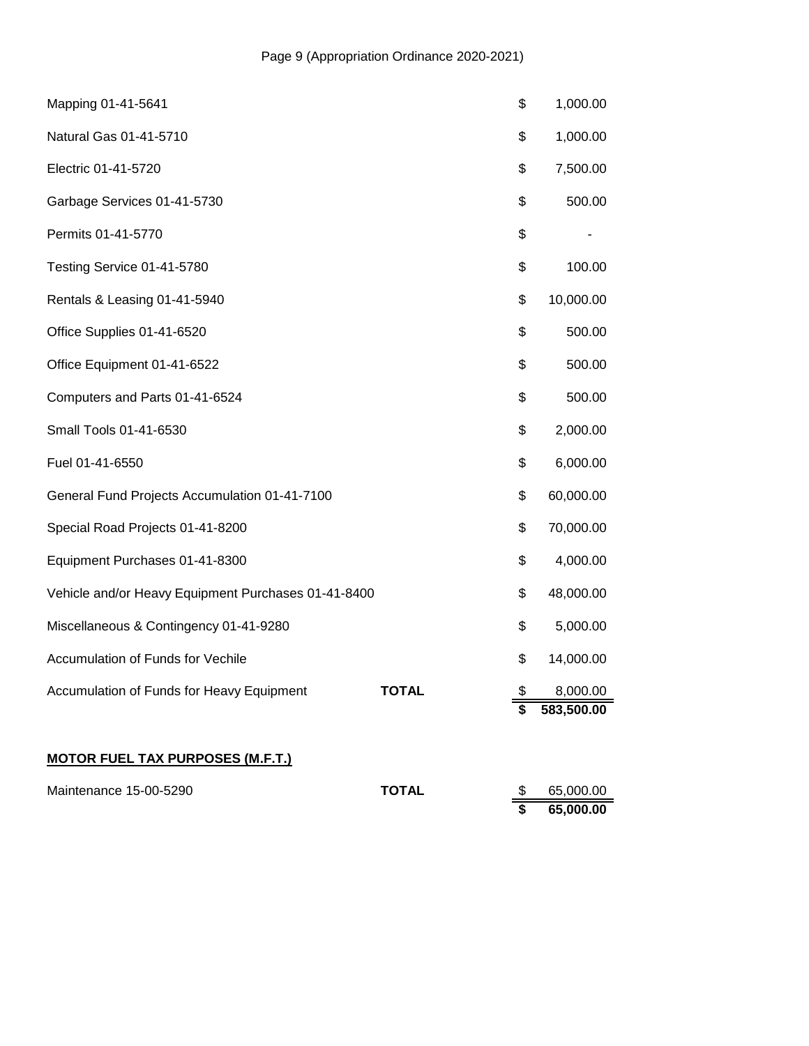| Mapping 01-41-5641                                  |              | \$                      | 1,000.00   |
|-----------------------------------------------------|--------------|-------------------------|------------|
| Natural Gas 01-41-5710                              |              | \$                      | 1,000.00   |
| Electric 01-41-5720                                 |              | \$                      | 7,500.00   |
| Garbage Services 01-41-5730                         |              | \$                      | 500.00     |
| Permits 01-41-5770                                  |              | \$                      |            |
| Testing Service 01-41-5780                          |              | \$                      | 100.00     |
| Rentals & Leasing 01-41-5940                        |              | \$                      | 10,000.00  |
| Office Supplies 01-41-6520                          |              | \$                      | 500.00     |
| Office Equipment 01-41-6522                         |              | \$                      | 500.00     |
| Computers and Parts 01-41-6524                      |              | \$                      | 500.00     |
| Small Tools 01-41-6530                              |              | \$                      | 2,000.00   |
| Fuel 01-41-6550                                     |              | \$                      | 6,000.00   |
| General Fund Projects Accumulation 01-41-7100       |              | \$                      | 60,000.00  |
| Special Road Projects 01-41-8200                    |              | \$                      | 70,000.00  |
| Equipment Purchases 01-41-8300                      |              | \$                      | 4,000.00   |
| Vehicle and/or Heavy Equipment Purchases 01-41-8400 |              | \$                      | 48,000.00  |
| Miscellaneous & Contingency 01-41-9280              |              | \$                      | 5,000.00   |
| Accumulation of Funds for Vechile                   |              | \$                      | 14,000.00  |
| Accumulation of Funds for Heavy Equipment           | <b>TOTAL</b> | \$                      | 8,000.00   |
|                                                     |              | $\overline{\mathbf{s}}$ | 583,500.00 |
|                                                     |              |                         |            |

# **MOTOR FUEL TAX PURPOSES (M.F.T.)**

| Maintenance 15-00-5290 | <b>TOTAL</b> | 65.000.00 |
|------------------------|--------------|-----------|
|                        |              | 65,000.00 |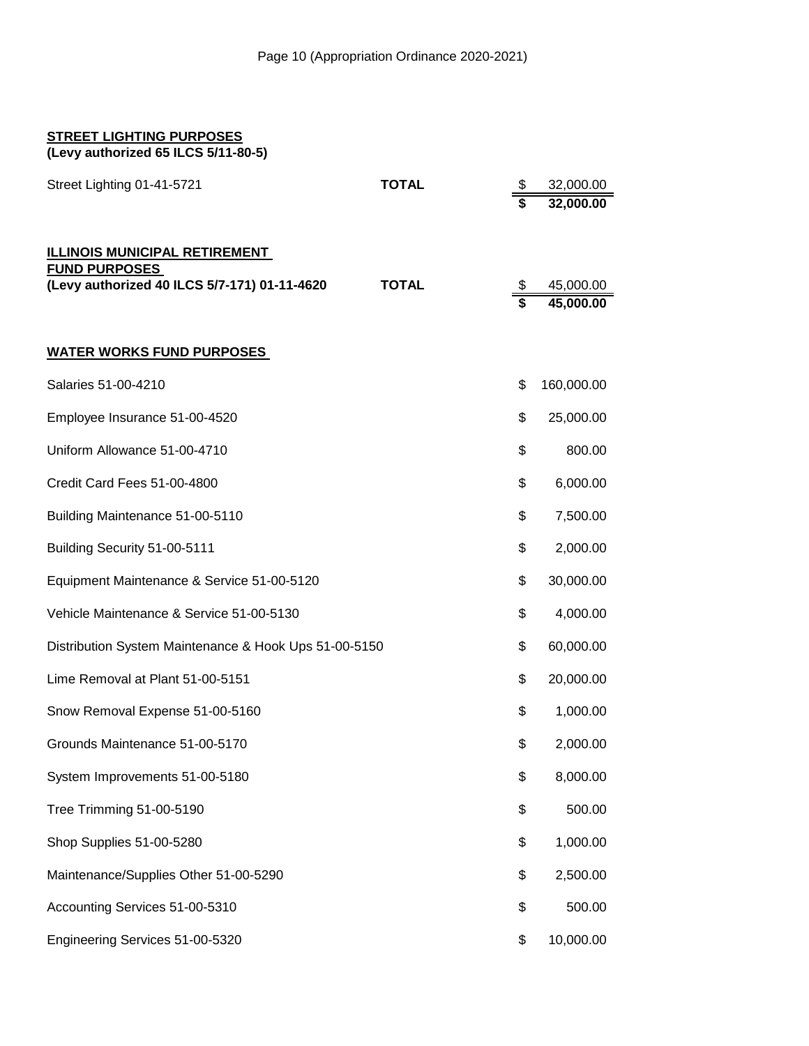| <b>STREET LIGHTING PURPOSES</b><br>(Levy authorized 65 ILCS 5/11-80-5)                                       |              |                               |                        |
|--------------------------------------------------------------------------------------------------------------|--------------|-------------------------------|------------------------|
| Street Lighting 01-41-5721                                                                                   | <b>TOTAL</b> | \$                            | 32,000.00<br>32,000.00 |
| <b>ILLINOIS MUNICIPAL RETIREMENT</b><br><b>FUND PURPOSES</b><br>(Levy authorized 40 ILCS 5/7-171) 01-11-4620 | <b>TOTAL</b> | \$<br>$\overline{\mathbf{s}}$ | 45,000.00<br>45,000.00 |
| <b>WATER WORKS FUND PURPOSES</b>                                                                             |              |                               |                        |
| Salaries 51-00-4210                                                                                          |              | \$                            | 160,000.00             |
| Employee Insurance 51-00-4520                                                                                |              | \$                            | 25,000.00              |
| Uniform Allowance 51-00-4710                                                                                 |              | \$                            | 800.00                 |
| Credit Card Fees 51-00-4800                                                                                  |              | \$                            | 6,000.00               |
| Building Maintenance 51-00-5110                                                                              |              | \$                            | 7,500.00               |
| Building Security 51-00-5111                                                                                 |              | \$                            | 2,000.00               |
| Equipment Maintenance & Service 51-00-5120                                                                   |              | \$                            | 30,000.00              |
| Vehicle Maintenance & Service 51-00-5130                                                                     |              | \$                            | 4,000.00               |
| Distribution System Maintenance & Hook Ups 51-00-5150                                                        |              | \$                            | 60,000.00              |
| Lime Removal at Plant 51-00-5151                                                                             |              | \$                            | 20,000.00              |
| Snow Removal Expense 51-00-5160                                                                              |              | \$                            | 1,000.00               |
| Grounds Maintenance 51-00-5170                                                                               |              | \$                            | 2,000.00               |
| System Improvements 51-00-5180                                                                               |              | \$                            | 8,000.00               |
| Tree Trimming 51-00-5190                                                                                     |              | \$                            | 500.00                 |
| Shop Supplies 51-00-5280                                                                                     |              | \$                            | 1,000.00               |
| Maintenance/Supplies Other 51-00-5290                                                                        |              | \$                            | 2,500.00               |
| Accounting Services 51-00-5310                                                                               |              | \$                            | 500.00                 |
| Engineering Services 51-00-5320                                                                              |              | \$                            | 10,000.00              |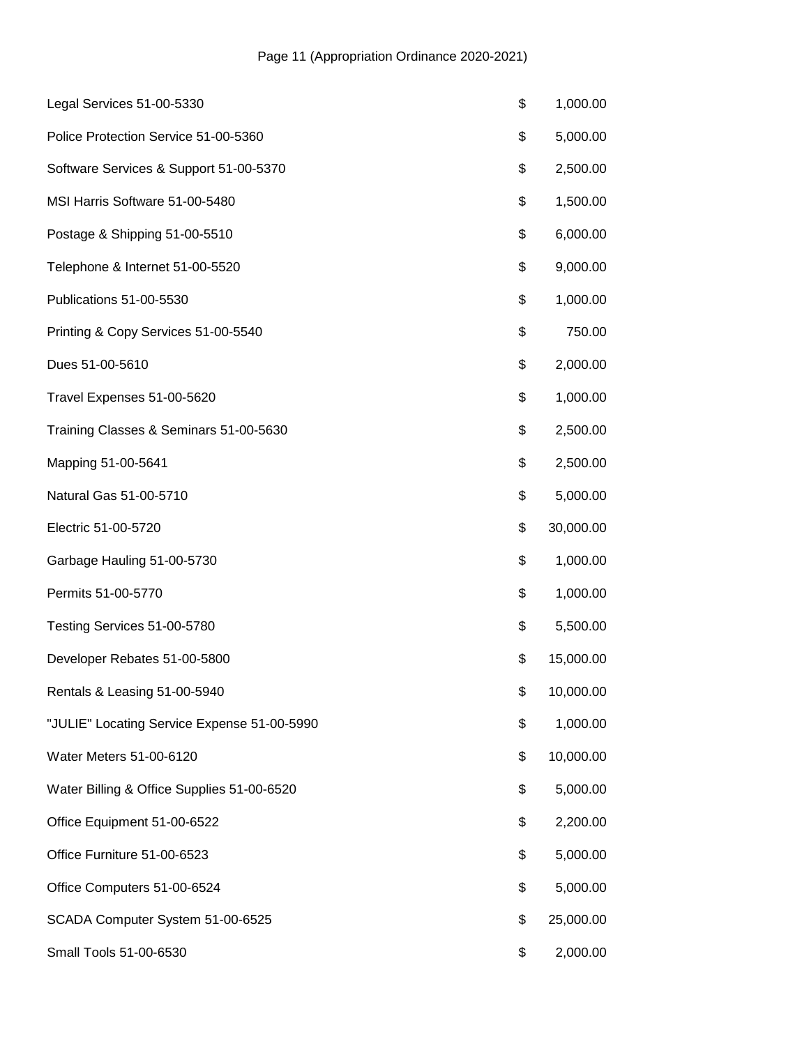| Legal Services 51-00-5330                   | \$<br>1,000.00  |
|---------------------------------------------|-----------------|
| Police Protection Service 51-00-5360        | \$<br>5,000.00  |
| Software Services & Support 51-00-5370      | \$<br>2,500.00  |
| MSI Harris Software 51-00-5480              | \$<br>1,500.00  |
| Postage & Shipping 51-00-5510               | \$<br>6,000.00  |
| Telephone & Internet 51-00-5520             | \$<br>9,000.00  |
| Publications 51-00-5530                     | \$<br>1,000.00  |
| Printing & Copy Services 51-00-5540         | \$<br>750.00    |
| Dues 51-00-5610                             | \$<br>2,000.00  |
| Travel Expenses 51-00-5620                  | \$<br>1,000.00  |
| Training Classes & Seminars 51-00-5630      | \$<br>2,500.00  |
| Mapping 51-00-5641                          | \$<br>2,500.00  |
| Natural Gas 51-00-5710                      | \$<br>5,000.00  |
| Electric 51-00-5720                         | \$<br>30,000.00 |
| Garbage Hauling 51-00-5730                  | \$<br>1,000.00  |
| Permits 51-00-5770                          | \$<br>1,000.00  |
| Testing Services 51-00-5780                 | \$<br>5,500.00  |
| Developer Rebates 51-00-5800                | \$<br>15,000.00 |
| Rentals & Leasing 51-00-5940                | \$<br>10,000.00 |
| "JULIE" Locating Service Expense 51-00-5990 | \$<br>1,000.00  |
| Water Meters 51-00-6120                     | \$<br>10,000.00 |
| Water Billing & Office Supplies 51-00-6520  | \$<br>5,000.00  |
| Office Equipment 51-00-6522                 | \$<br>2,200.00  |
| Office Furniture 51-00-6523                 | \$<br>5,000.00  |
| Office Computers 51-00-6524                 | \$<br>5,000.00  |
| SCADA Computer System 51-00-6525            | \$<br>25,000.00 |
| Small Tools 51-00-6530                      | \$<br>2,000.00  |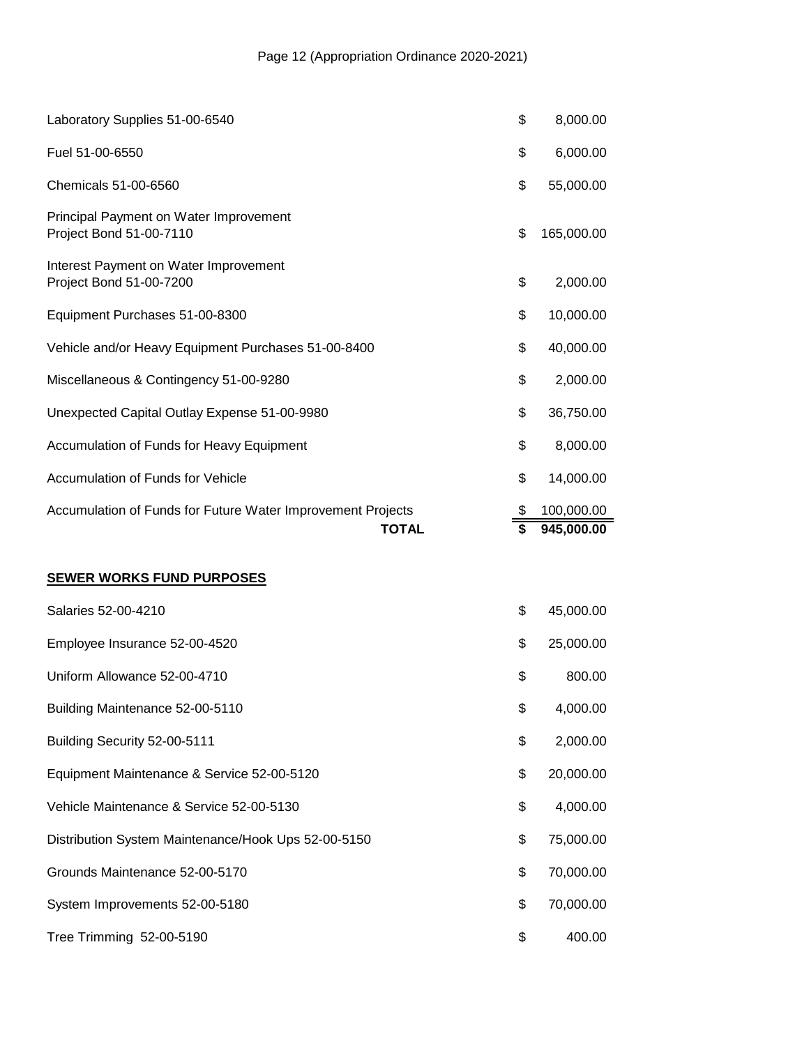| Laboratory Supplies 51-00-6540                                    | \$ | 8,000.00   |
|-------------------------------------------------------------------|----|------------|
| Fuel 51-00-6550                                                   | \$ | 6,000.00   |
| Chemicals 51-00-6560                                              | \$ | 55,000.00  |
| Principal Payment on Water Improvement<br>Project Bond 51-00-7110 | \$ | 165,000.00 |
| Interest Payment on Water Improvement<br>Project Bond 51-00-7200  | \$ | 2,000.00   |
| Equipment Purchases 51-00-8300                                    | \$ | 10,000.00  |
| Vehicle and/or Heavy Equipment Purchases 51-00-8400               | \$ | 40,000.00  |
| Miscellaneous & Contingency 51-00-9280                            |    | 2,000.00   |
| Unexpected Capital Outlay Expense 51-00-9980                      | \$ | 36,750.00  |
| Accumulation of Funds for Heavy Equipment                         | \$ | 8,000.00   |
| Accumulation of Funds for Vehicle                                 | \$ | 14,000.00  |
| Accumulation of Funds for Future Water Improvement Projects       |    | 100,000.00 |
| <b>TOTAL</b>                                                      | \$ | 945,000.00 |
| <b>SEWER WORKS FUND PURPOSES</b>                                  |    |            |
| Salaries 52-00-4210                                               | \$ | 45,000.00  |
| Employee Insurance 52-00-4520                                     | \$ | 25,000.00  |
| Uniform Allowance 52-00-4710                                      | \$ | 800.00     |

Building Maintenance 52-00-5110 \$ 4,000.00 Building Security 52-00-5111 **\$** 2,000.00 Equipment Maintenance & Service 52-00-5120 <br>
\$20,000.00 Vehicle Maintenance & Service 52-00-5130 \$ 4,000.00 Distribution System Maintenance/Hook Ups 52-00-5150 \$ 75,000.00 Grounds Maintenance 52-00-5170 **\$ 70,000.00** System Improvements 52-00-5180 **\$ 70,000.00** \$ 70,000.00

Tree Trimming 52-00-5190 **\$** 400.00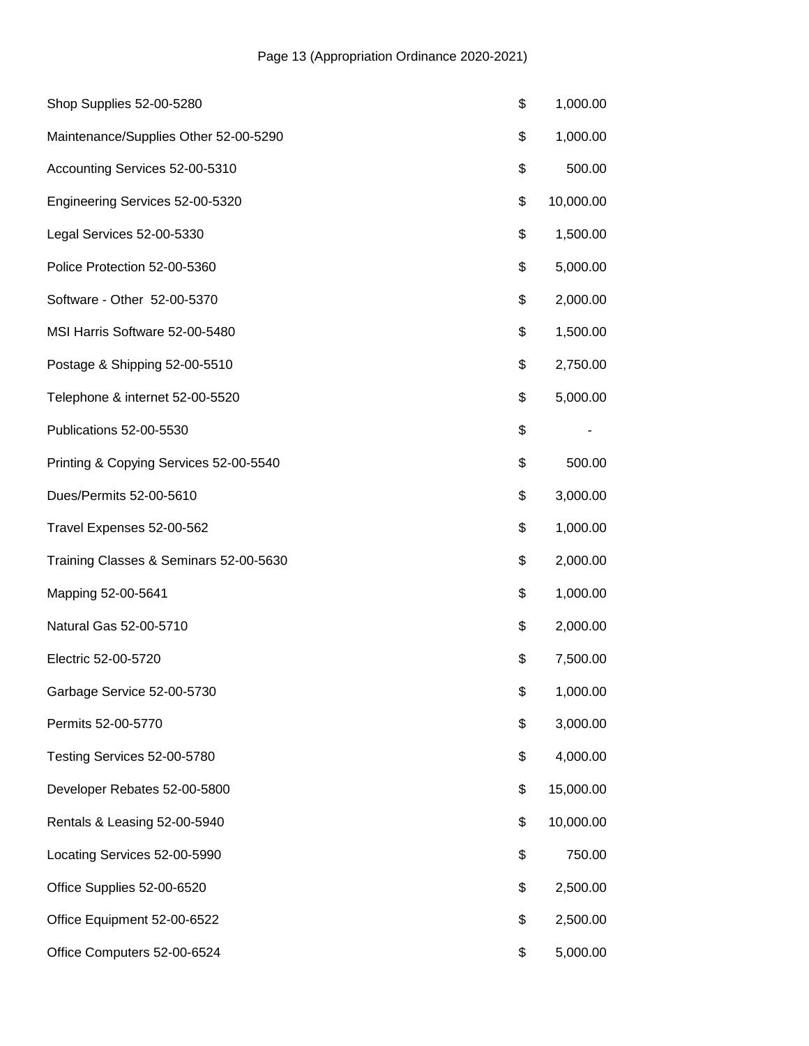| Shop Supplies 52-00-5280               | \$<br>1,000.00  |
|----------------------------------------|-----------------|
| Maintenance/Supplies Other 52-00-5290  | \$<br>1,000.00  |
| Accounting Services 52-00-5310         | \$<br>500.00    |
| Engineering Services 52-00-5320        | \$<br>10,000.00 |
| Legal Services 52-00-5330              | \$<br>1,500.00  |
| Police Protection 52-00-5360           | \$<br>5,000.00  |
| Software - Other 52-00-5370            | \$<br>2,000.00  |
| MSI Harris Software 52-00-5480         | \$<br>1,500.00  |
| Postage & Shipping 52-00-5510          | \$<br>2,750.00  |
| Telephone & internet 52-00-5520        | \$<br>5,000.00  |
| Publications 52-00-5530                | \$              |
| Printing & Copying Services 52-00-5540 | \$<br>500.00    |
| Dues/Permits 52-00-5610                | \$<br>3,000.00  |
| Travel Expenses 52-00-562              | \$<br>1,000.00  |
| Training Classes & Seminars 52-00-5630 | \$<br>2,000.00  |
| Mapping 52-00-5641                     | \$<br>1,000.00  |
| Natural Gas 52-00-5710                 | \$<br>2,000.00  |
| Electric 52-00-5720                    | \$<br>7,500.00  |
| Garbage Service 52-00-5730             | \$<br>1,000.00  |
| Permits 52-00-5770                     | \$<br>3,000.00  |
| Testing Services 52-00-5780            | \$<br>4,000.00  |
| Developer Rebates 52-00-5800           | \$<br>15,000.00 |
| Rentals & Leasing 52-00-5940           | \$<br>10,000.00 |
| Locating Services 52-00-5990           | \$<br>750.00    |
| Office Supplies 52-00-6520             | \$<br>2,500.00  |
| Office Equipment 52-00-6522            | \$<br>2,500.00  |
| Office Computers 52-00-6524            | \$<br>5,000.00  |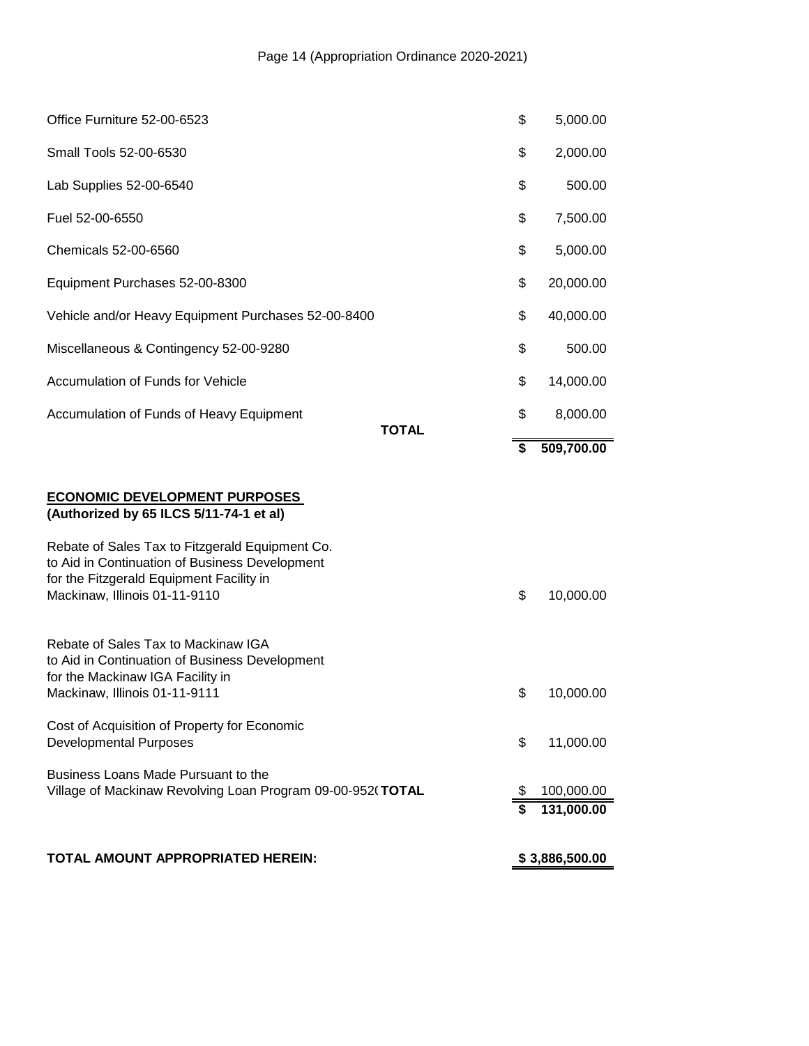| TOTAL AMOUNT APPROPRIATED HEREIN:                                                                                                                                                                                                                                 |              | \$3,886,500.00 |            |
|-------------------------------------------------------------------------------------------------------------------------------------------------------------------------------------------------------------------------------------------------------------------|--------------|----------------|------------|
|                                                                                                                                                                                                                                                                   |              | \$             | 131,000.00 |
| Business Loans Made Pursuant to the<br>Village of Mackinaw Revolving Loan Program 09-00-952(TOTAL                                                                                                                                                                 |              | \$             | 100,000.00 |
| Cost of Acquisition of Property for Economic<br><b>Developmental Purposes</b>                                                                                                                                                                                     |              | \$             | 11,000.00  |
| Rebate of Sales Tax to Mackinaw IGA<br>to Aid in Continuation of Business Development<br>for the Mackinaw IGA Facility in<br>Mackinaw, Illinois 01-11-9111                                                                                                        |              | \$             | 10,000.00  |
| <b>ECONOMIC DEVELOPMENT PURPOSES</b><br>(Authorized by 65 ILCS 5/11-74-1 et al)<br>Rebate of Sales Tax to Fitzgerald Equipment Co.<br>to Aid in Continuation of Business Development<br>for the Fitzgerald Equipment Facility in<br>Mackinaw, Illinois 01-11-9110 |              | \$             | 10,000.00  |
|                                                                                                                                                                                                                                                                   |              | S              | 509,700.00 |
| Accumulation of Funds of Heavy Equipment                                                                                                                                                                                                                          | <b>TOTAL</b> | \$             | 8,000.00   |
| Accumulation of Funds for Vehicle                                                                                                                                                                                                                                 |              | \$             | 14,000.00  |
| Miscellaneous & Contingency 52-00-9280                                                                                                                                                                                                                            |              | \$             | 500.00     |
| Vehicle and/or Heavy Equipment Purchases 52-00-8400                                                                                                                                                                                                               |              | \$             | 40,000.00  |
| Equipment Purchases 52-00-8300                                                                                                                                                                                                                                    |              | \$             | 20,000.00  |
| Chemicals 52-00-6560                                                                                                                                                                                                                                              |              | \$             | 5,000.00   |
| Fuel 52-00-6550                                                                                                                                                                                                                                                   |              | \$             | 7,500.00   |
| Lab Supplies 52-00-6540                                                                                                                                                                                                                                           |              | \$             | 500.00     |
| Small Tools 52-00-6530                                                                                                                                                                                                                                            |              | \$             | 2,000.00   |
| Office Furniture 52-00-6523                                                                                                                                                                                                                                       |              | \$             | 5,000.00   |